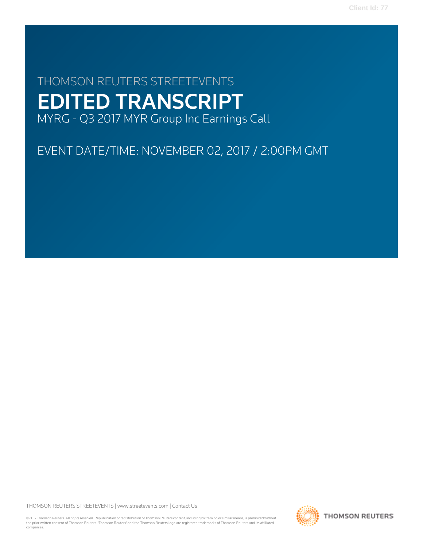# THOMSON REUTERS STREETEVENTS EDITED TRANSCRIPT MYRG - Q3 2017 MYR Group Inc Earnings Call

EVENT DATE/TIME: NOVEMBER 02, 2017 / 2:00PM GMT

THOMSON REUTERS STREETEVENTS | [www.streetevents.com](http://www.streetevents.com) | [Contact Us](http://www010.streetevents.com/contact.asp)

©2017 Thomson Reuters. All rights reserved. Republication or redistribution of Thomson Reuters content, including by framing or similar means, is prohibited without the prior written consent of Thomson Reuters. 'Thomson Reuters' and the Thomson Reuters logo are registered trademarks of Thomson Reuters and its affiliated companies.

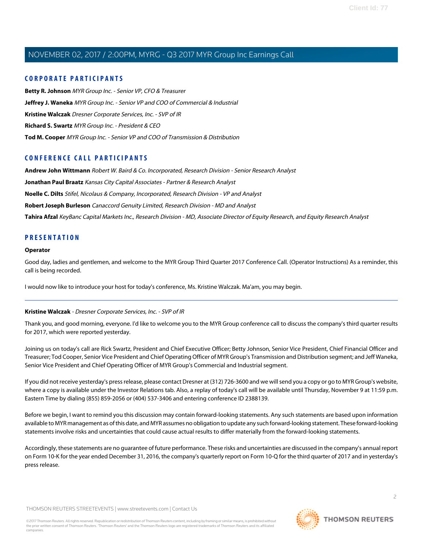# **CORPORATE PARTICIPANTS**

**[Betty R. Johnson](#page-2-0)** MYR Group Inc. - Senior VP, CFO & Treasurer **[Jeffrey J. Waneka](#page-5-0)** MYR Group Inc. - Senior VP and COO of Commercial & Industrial **[Kristine Walczak](#page-1-0)** Dresner Corporate Services, Inc. - SVP of IR **[Richard S. Swartz](#page-2-1)** MYR Group Inc. - President & CEO **[Tod M. Cooper](#page-3-0)** MYR Group Inc. - Senior VP and COO of Transmission & Distribution

# **CONFERENCE CALL PARTICIPANTS**

**[Andrew John Wittmann](#page-9-0)** Robert W. Baird & Co. Incorporated, Research Division - Senior Research Analyst

**[Jonathan Paul Braatz](#page-13-0)** Kansas City Capital Associates - Partner & Research Analyst

**[Noelle C. Dilts](#page-11-0)** Stifel, Nicolaus & Company, Incorporated, Research Division - VP and Analyst

**[Robert Joseph Burleson](#page-7-0)** Canaccord Genuity Limited, Research Division - MD and Analyst

**[Tahira Afzal](#page-6-0)** KeyBanc Capital Markets Inc., Research Division - MD, Associate Director of Equity Research, and Equity Research Analyst

# **PRESENTATION**

# **Operator**

Good day, ladies and gentlemen, and welcome to the MYR Group Third Quarter 2017 Conference Call. (Operator Instructions) As a reminder, this call is being recorded.

<span id="page-1-0"></span>I would now like to introduce your host for today's conference, Ms. Kristine Walczak. Ma'am, you may begin.

# **Kristine Walczak** - Dresner Corporate Services, Inc. - SVP of IR

Thank you, and good morning, everyone. I'd like to welcome you to the MYR Group conference call to discuss the company's third quarter results for 2017, which were reported yesterday.

Joining us on today's call are Rick Swartz, President and Chief Executive Officer; Betty Johnson, Senior Vice President, Chief Financial Officer and Treasurer; Tod Cooper, Senior Vice President and Chief Operating Officer of MYR Group's Transmission and Distribution segment; and Jeff Waneka, Senior Vice President and Chief Operating Officer of MYR Group's Commercial and Industrial segment.

If you did not receive yesterday's press release, please contact Dresner at (312) 726-3600 and we will send you a copy or go to MYR Group's website, where a copy is available under the Investor Relations tab. Also, a replay of today's call will be available until Thursday, November 9 at 11:59 p.m. Eastern Time by dialing (855) 859-2056 or (404) 537-3406 and entering conference ID 2388139.

Before we begin, I want to remind you this discussion may contain forward-looking statements. Any such statements are based upon information available to MYR management as of this date, and MYR assumes no obligation to update any such forward-looking statement. These forward-looking statements involve risks and uncertainties that could cause actual results to differ materially from the forward-looking statements.

Accordingly, these statements are no guarantee of future performance. These risks and uncertainties are discussed in the company's annual report on Form 10-K for the year ended December 31, 2016, the company's quarterly report on Form 10-Q for the third quarter of 2017 and in yesterday's press release.

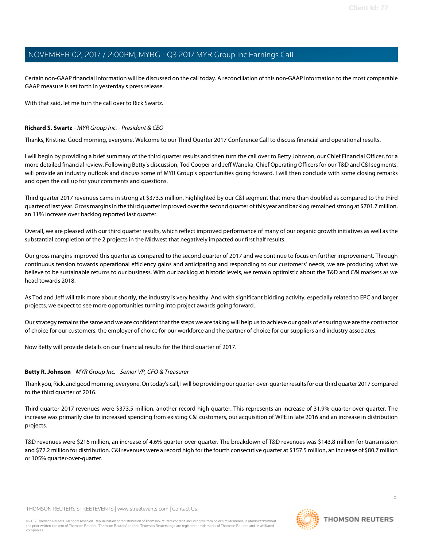Certain non-GAAP financial information will be discussed on the call today. A reconciliation of this non-GAAP information to the most comparable GAAP measure is set forth in yesterday's press release.

With that said, let me turn the call over to Rick Swartz.

# <span id="page-2-1"></span>**Richard S. Swartz** - MYR Group Inc. - President & CEO

Thanks, Kristine. Good morning, everyone. Welcome to our Third Quarter 2017 Conference Call to discuss financial and operational results.

I will begin by providing a brief summary of the third quarter results and then turn the call over to Betty Johnson, our Chief Financial Officer, for a more detailed financial review. Following Betty's discussion, Tod Cooper and Jeff Waneka, Chief Operating Officers for our T&D and C&I segments, will provide an industry outlook and discuss some of MYR Group's opportunities going forward. I will then conclude with some closing remarks and open the call up for your comments and questions.

Third quarter 2017 revenues came in strong at \$373.5 million, highlighted by our C&I segment that more than doubled as compared to the third quarter of last year. Gross margins in the third quarter improved over the second quarter of this year and backlog remained strong at \$701.7 million, an 11% increase over backlog reported last quarter.

Overall, we are pleased with our third quarter results, which reflect improved performance of many of our organic growth initiatives as well as the substantial completion of the 2 projects in the Midwest that negatively impacted our first half results.

Our gross margins improved this quarter as compared to the second quarter of 2017 and we continue to focus on further improvement. Through continuous tension towards operational efficiency gains and anticipating and responding to our customers' needs, we are producing what we believe to be sustainable returns to our business. With our backlog at historic levels, we remain optimistic about the T&D and C&I markets as we head towards 2018.

As Tod and Jeff will talk more about shortly, the industry is very healthy. And with significant bidding activity, especially related to EPC and larger projects, we expect to see more opportunities turning into project awards going forward.

Our strategy remains the same and we are confident that the steps we are taking will help us to achieve our goals of ensuring we are the contractor of choice for our customers, the employer of choice for our workforce and the partner of choice for our suppliers and industry associates.

<span id="page-2-0"></span>Now Betty will provide details on our financial results for the third quarter of 2017.

# **Betty R. Johnson** - MYR Group Inc. - Senior VP, CFO & Treasurer

Thank you, Rick, and good morning, everyone. On today's call, I will be providing our quarter-over-quarter results for our third quarter 2017 compared to the third quarter of 2016.

Third quarter 2017 revenues were \$373.5 million, another record high quarter. This represents an increase of 31.9% quarter-over-quarter. The increase was primarily due to increased spending from existing C&I customers, our acquisition of WPE in late 2016 and an increase in distribution projects.

T&D revenues were \$216 million, an increase of 4.6% quarter-over-quarter. The breakdown of T&D revenues was \$143.8 million for transmission and \$72.2 million for distribution. C&I revenues were a record high for the fourth consecutive quarter at \$157.5 million, an increase of \$80.7 million or 105% quarter-over-quarter.

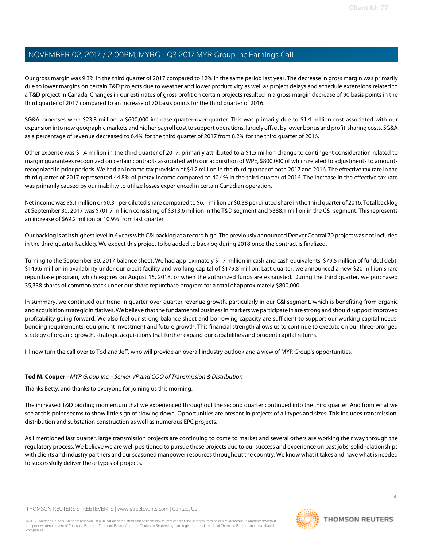Our gross margin was 9.3% in the third quarter of 2017 compared to 12% in the same period last year. The decrease in gross margin was primarily due to lower margins on certain T&D projects due to weather and lower productivity as well as project delays and schedule extensions related to a T&D project in Canada. Changes in our estimates of gross profit on certain projects resulted in a gross margin decrease of 90 basis points in the third quarter of 2017 compared to an increase of 70 basis points for the third quarter of 2016.

SG&A expenses were \$23.8 million, a \$600,000 increase quarter-over-quarter. This was primarily due to \$1.4 million cost associated with our expansion into new geographic markets and higher payroll cost to support operations, largely offset by lower bonus and profit-sharing costs. SG&A as a percentage of revenue decreased to 6.4% for the third quarter of 2017 from 8.2% for the third quarter of 2016.

Other expense was \$1.4 million in the third quarter of 2017, primarily attributed to a \$1.5 million change to contingent consideration related to margin guarantees recognized on certain contracts associated with our acquisition of WPE, \$800,000 of which related to adjustments to amounts recognized in prior periods. We had an income tax provision of \$4.2 million in the third quarter of both 2017 and 2016. The effective tax rate in the third quarter of 2017 represented 44.8% of pretax income compared to 40.4% in the third quarter of 2016. The increase in the effective tax rate was primarily caused by our inability to utilize losses experienced in certain Canadian operation.

Net income was \$5.1 million or \$0.31 per diluted share compared to \$6.1 million or \$0.38 per diluted share in the third quarter of 2016. Total backlog at September 30, 2017 was \$701.7 million consisting of \$313.6 million in the T&D segment and \$388.1 million in the C&I segment. This represents an increase of \$69.2 million or 10.9% from last quarter.

Our backlog is at its highest level in 6 years with C&I backlog at a record high. The previously announced Denver Central 70 project was not included in the third quarter backlog. We expect this project to be added to backlog during 2018 once the contract is finalized.

Turning to the September 30, 2017 balance sheet. We had approximately \$1.7 million in cash and cash equivalents, \$79.5 million of funded debt, \$149.6 million in availability under our credit facility and working capital of \$179.8 million. Last quarter, we announced a new \$20 million share repurchase program, which expires on August 15, 2018, or when the authorized funds are exhausted. During the third quarter, we purchased 35,338 shares of common stock under our share repurchase program for a total of approximately \$800,000.

In summary, we continued our trend in quarter-over-quarter revenue growth, particularly in our C&I segment, which is benefiting from organic and acquisition strategic initiatives. We believe that the fundamental business in markets we participate in are strong and should support improved profitability going forward. We also feel our strong balance sheet and borrowing capacity are sufficient to support our working capital needs, bonding requirements, equipment investment and future growth. This financial strength allows us to continue to execute on our three-pronged strategy of organic growth, strategic acquisitions that further expand our capabilities and prudent capital returns.

<span id="page-3-0"></span>I'll now turn the call over to Tod and Jeff, who will provide an overall industry outlook and a view of MYR Group's opportunities.

# **Tod M. Cooper** - MYR Group Inc. - Senior VP and COO of Transmission & Distribution

Thanks Betty, and thanks to everyone for joining us this morning.

The increased T&D bidding momentum that we experienced throughout the second quarter continued into the third quarter. And from what we see at this point seems to show little sign of slowing down. Opportunities are present in projects of all types and sizes. This includes transmission, distribution and substation construction as well as numerous EPC projects.

As I mentioned last quarter, large transmission projects are continuing to come to market and several others are working their way through the regulatory process. We believe we are well positioned to pursue these projects due to our success and experience on past jobs, solid relationships with clients and industry partners and our seasoned manpower resources throughout the country. We know what it takes and have what is needed to successfully deliver these types of projects.

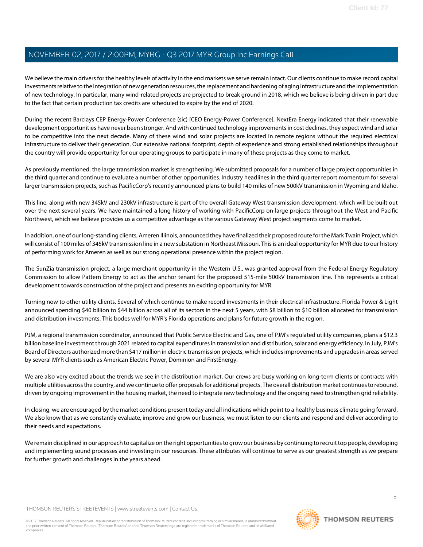We believe the main drivers for the healthy levels of activity in the end markets we serve remain intact. Our clients continue to make record capital investments relative to the integration of new generation resources, the replacement and hardening of aging infrastructure and the implementation of new technology. In particular, many wind-related projects are projected to break ground in 2018, which we believe is being driven in part due to the fact that certain production tax credits are scheduled to expire by the end of 2020.

During the recent Barclays CEP Energy-Power Conference (sic) [CEO Energy-Power Conference], NextEra Energy indicated that their renewable development opportunities have never been stronger. And with continued technology improvements in cost declines, they expect wind and solar to be competitive into the next decade. Many of these wind and solar projects are located in remote regions without the required electrical infrastructure to deliver their generation. Our extensive national footprint, depth of experience and strong established relationships throughout the country will provide opportunity for our operating groups to participate in many of these projects as they come to market.

As previously mentioned, the large transmission market is strengthening. We submitted proposals for a number of large project opportunities in the third quarter and continue to evaluate a number of other opportunities. Industry headlines in the third quarter report momentum for several larger transmission projects, such as PacificCorp's recently announced plans to build 140 miles of new 500kV transmission in Wyoming and Idaho.

This line, along with new 345kV and 230kV infrastructure is part of the overall Gateway West transmission development, which will be built out over the next several years. We have maintained a long history of working with PacificCorp on large projects throughout the West and Pacific Northwest, which we believe provides us a competitive advantage as the various Gateway West project segments come to market.

In addition, one of our long-standing clients, Ameren Illinois, announced they have finalized their proposed route for the Mark Twain Project, which will consist of 100 miles of 345kV transmission line in a new substation in Northeast Missouri. This is an ideal opportunity for MYR due to our history of performing work for Ameren as well as our strong operational presence within the project region.

The SunZia transmission project, a large merchant opportunity in the Western U.S., was granted approval from the Federal Energy Regulatory Commission to allow Pattern Energy to act as the anchor tenant for the proposed 515-mile 500kV transmission line. This represents a critical development towards construction of the project and presents an exciting opportunity for MYR.

Turning now to other utility clients. Several of which continue to make record investments in their electrical infrastructure. Florida Power & Light announced spending \$40 billion to \$44 billion across all of its sectors in the next 5 years, with \$8 billion to \$10 billion allocated for transmission and distribution investments. This bodes well for MYR's Florida operations and plans for future growth in the region.

PJM, a regional transmission coordinator, announced that Public Service Electric and Gas, one of PJM's regulated utility companies, plans a \$12.3 billion baseline investment through 2021 related to capital expenditures in transmission and distribution, solar and energy efficiency. In July, PJM's Board of Directors authorized more than \$417 million in electric transmission projects, which includes improvements and upgrades in areas served by several MYR clients such as American Electric Power, Dominion and FirstEnergy.

We are also very excited about the trends we see in the distribution market. Our crews are busy working on long-term clients or contracts with multiple utilities across the country, and we continue to offer proposals for additional projects. The overall distribution market continues to rebound, driven by ongoing improvement in the housing market, the need to integrate new technology and the ongoing need to strengthen grid reliability.

In closing, we are encouraged by the market conditions present today and all indications which point to a healthy business climate going forward. We also know that as we constantly evaluate, improve and grow our business, we must listen to our clients and respond and deliver according to their needs and expectations.

We remain disciplined in our approach to capitalize on the right opportunities to grow our business by continuing to recruit top people, developing and implementing sound processes and investing in our resources. These attributes will continue to serve as our greatest strength as we prepare for further growth and challenges in the years ahead.

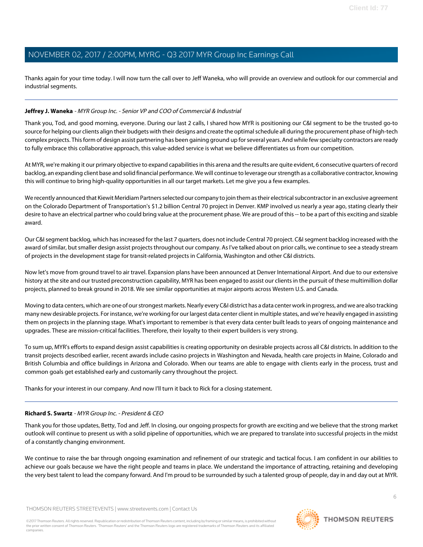Thanks again for your time today. I will now turn the call over to Jeff Waneka, who will provide an overview and outlook for our commercial and industrial segments.

# <span id="page-5-0"></span>**Jeffrey J. Waneka** - MYR Group Inc. - Senior VP and COO of Commercial & Industrial

Thank you, Tod, and good morning, everyone. During our last 2 calls, I shared how MYR is positioning our C&I segment to be the trusted go-to source for helping our clients align their budgets with their designs and create the optimal schedule all during the procurement phase of high-tech complex projects. This form of design assist partnering has been gaining ground up for several years. And while few specialty contractors are ready to fully embrace this collaborative approach, this value-added service is what we believe differentiates us from our competition.

At MYR, we're making it our primary objective to expand capabilities in this arena and the results are quite evident, 6 consecutive quarters of record backlog, an expanding client base and solid financial performance. We will continue to leverage our strength as a collaborative contractor, knowing this will continue to bring high-quality opportunities in all our target markets. Let me give you a few examples.

We recently announced that Kiewit Meridiam Partners selected our company to join them as their electrical subcontractor in an exclusive agreement on the Colorado Department of Transportation's \$1.2 billion Central 70 project in Denver. KMP involved us nearly a year ago, stating clearly their desire to have an electrical partner who could bring value at the procurement phase. We are proud of this -- to be a part of this exciting and sizable award.

Our C&I segment backlog, which has increased for the last 7 quarters, does not include Central 70 project. C&I segment backlog increased with the award of similar, but smaller design assist projects throughout our company. As I've talked about on prior calls, we continue to see a steady stream of projects in the development stage for transit-related projects in California, Washington and other C&I districts.

Now let's move from ground travel to air travel. Expansion plans have been announced at Denver International Airport. And due to our extensive history at the site and our trusted preconstruction capability, MYR has been engaged to assist our clients in the pursuit of these multimillion dollar projects, planned to break ground in 2018. We see similar opportunities at major airports across Western U.S. and Canada.

Moving to data centers, which are one of our strongest markets. Nearly every C&I district has a data center work in progress, and we are also tracking many new desirable projects. For instance, we're working for our largest data center client in multiple states, and we're heavily engaged in assisting them on projects in the planning stage. What's important to remember is that every data center built leads to years of ongoing maintenance and upgrades. These are mission-critical facilities. Therefore, their loyalty to their expert builders is very strong.

To sum up, MYR's efforts to expand design assist capabilities is creating opportunity on desirable projects across all C&I districts. In addition to the transit projects described earlier, recent awards include casino projects in Washington and Nevada, health care projects in Maine, Colorado and British Columbia and office buildings in Arizona and Colorado. When our teams are able to engage with clients early in the process, trust and common goals get established early and customarily carry throughout the project.

Thanks for your interest in our company. And now I'll turn it back to Rick for a closing statement.

# **Richard S. Swartz** - MYR Group Inc. - President & CEO

Thank you for those updates, Betty, Tod and Jeff. In closing, our ongoing prospects for growth are exciting and we believe that the strong market outlook will continue to present us with a solid pipeline of opportunities, which we are prepared to translate into successful projects in the midst of a constantly changing environment.

We continue to raise the bar through ongoing examination and refinement of our strategic and tactical focus. I am confident in our abilities to achieve our goals because we have the right people and teams in place. We understand the importance of attracting, retaining and developing the very best talent to lead the company forward. And I'm proud to be surrounded by such a talented group of people, day in and day out at MYR.

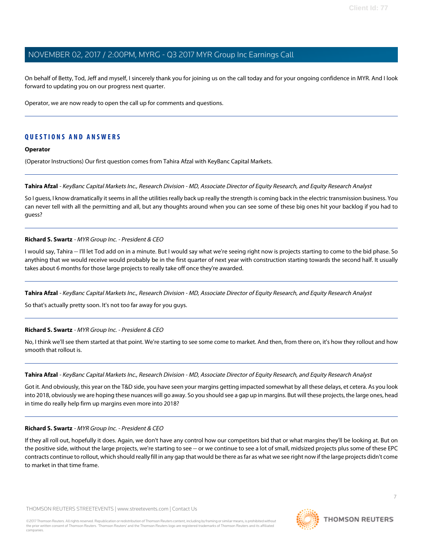On behalf of Betty, Tod, Jeff and myself, I sincerely thank you for joining us on the call today and for your ongoing confidence in MYR. And I look forward to updating you on our progress next quarter.

Operator, we are now ready to open the call up for comments and questions.

# **QUESTIONS AND ANSWERS**

# **Operator**

<span id="page-6-0"></span>(Operator Instructions) Our first question comes from Tahira Afzal with KeyBanc Capital Markets.

**Tahira Afzal** - KeyBanc Capital Markets Inc., Research Division - MD, Associate Director of Equity Research, and Equity Research Analyst

So I guess, I know dramatically it seems in all the utilities really back up really the strength is coming back in the electric transmission business. You can never tell with all the permitting and all, but any thoughts around when you can see some of these big ones hit your backlog if you had to guess?

# **Richard S. Swartz** - MYR Group Inc. - President & CEO

I would say, Tahira -- I'll let Tod add on in a minute. But I would say what we're seeing right now is projects starting to come to the bid phase. So anything that we would receive would probably be in the first quarter of next year with construction starting towards the second half. It usually takes about 6 months for those large projects to really take off once they're awarded.

Tahira Afzal - KeyBanc Capital Markets Inc., Research Division - MD, Associate Director of Equity Research, and Equity Research Analyst

So that's actually pretty soon. It's not too far away for you guys.

# **Richard S. Swartz** - MYR Group Inc. - President & CEO

No, I think we'll see them started at that point. We're starting to see some come to market. And then, from there on, it's how they rollout and how smooth that rollout is.

# **Tahira Afzal** - KeyBanc Capital Markets Inc., Research Division - MD, Associate Director of Equity Research, and Equity Research Analyst

Got it. And obviously, this year on the T&D side, you have seen your margins getting impacted somewhat by all these delays, et cetera. As you look into 2018, obviously we are hoping these nuances will go away. So you should see a gap up in margins. But will these projects, the large ones, head in time do really help firm up margins even more into 2018?

# **Richard S. Swartz** - MYR Group Inc. - President & CEO

If they all roll out, hopefully it does. Again, we don't have any control how our competitors bid that or what margins they'll be looking at. But on the positive side, without the large projects, we're starting to see -- or we continue to see a lot of small, midsized projects plus some of these EPC contracts continue to rollout, which should really fill in any gap that would be there as far as what we see right now if the large projects didn't come to market in that time frame.

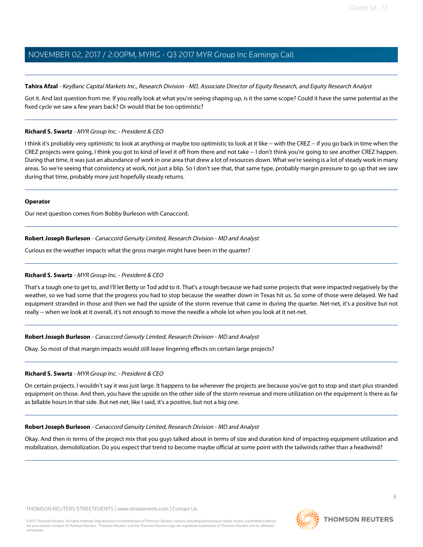# **Tahira Afzal** - KeyBanc Capital Markets Inc., Research Division - MD, Associate Director of Equity Research, and Equity Research Analyst

Got it. And last question from me. If you really look at what you're seeing shaping up, is it the same scope? Could it have the same potential as the fixed cycle we saw a few years back? Or would that be too optimistic?

# **Richard S. Swartz** - MYR Group Inc. - President & CEO

I think it's probably very optimistic to look at anything or maybe too optimistic to look at it like -- with the CREZ -- if you go back in time when the CREZ projects were going, I think you got to kind of level it off from there and not take -- I don't think you're going to see another CREZ happen. During that time, it was just an abundance of work in one area that drew a lot of resources down. What we're seeing is a lot of steady work in many areas. So we're seeing that consistency at work, not just a blip. So I don't see that, that same type, probably margin pressure to go up that we saw during that time, probably more just hopefully steady returns.

# **Operator**

<span id="page-7-0"></span>Our next question comes from Bobby Burleson with Canaccord.

# **Robert Joseph Burleson** - Canaccord Genuity Limited, Research Division - MD and Analyst

Curious ex the weather impacts what the gross margin might have been in the quarter?

# **Richard S. Swartz** - MYR Group Inc. - President & CEO

That's a tough one to get to, and I'll let Betty or Tod add to it. That's a tough because we had some projects that were impacted negatively by the weather, so we had some that the progress you had to stop because the weather down in Texas hit us. So some of those were delayed. We had equipment stranded in those and then we had the upside of the storm revenue that came in during the quarter. Net-net, it's a positive but not really -- when we look at it overall, it's not enough to move the needle a whole lot when you look at it net-net.

# **Robert Joseph Burleson** - Canaccord Genuity Limited, Research Division - MD and Analyst

Okay. So most of that margin impacts would still leave lingering effects on certain large projects?

# **Richard S. Swartz** - MYR Group Inc. - President & CEO

On certain projects. I wouldn't say it was just large. It happens to be wherever the projects are because you've got to stop and start plus stranded equipment on those. And then, you have the upside on the other side of the storm revenue and more utilization on the equipment is there as far as billable hours in that side. But net-net, like I said, it's a positive, but not a big one.

# **Robert Joseph Burleson** - Canaccord Genuity Limited, Research Division - MD and Analyst

Okay. And then in terms of the project mix that you guys talked about in terms of size and duration kind of impacting equipment utilization and mobilization, demobilization. Do you expect that trend to become maybe official at some point with the tailwinds rather than a headwind?

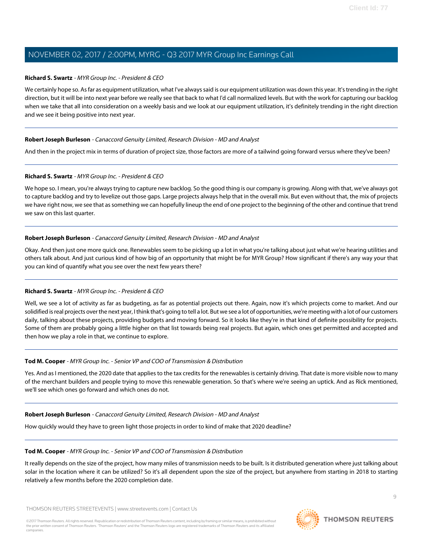# **Richard S. Swartz** - MYR Group Inc. - President & CEO

We certainly hope so. As far as equipment utilization, what I've always said is our equipment utilization was down this year. It's trending in the right direction, but it will be into next year before we really see that back to what I'd call normalized levels. But with the work for capturing our backlog when we take that all into consideration on a weekly basis and we look at our equipment utilization, it's definitely trending in the right direction and we see it being positive into next year.

# **Robert Joseph Burleson** - Canaccord Genuity Limited, Research Division - MD and Analyst

And then in the project mix in terms of duration of project size, those factors are more of a tailwind going forward versus where they've been?

# **Richard S. Swartz** - MYR Group Inc. - President & CEO

We hope so. I mean, you're always trying to capture new backlog. So the good thing is our company is growing. Along with that, we've always got to capture backlog and try to levelize out those gaps. Large projects always help that in the overall mix. But even without that, the mix of projects we have right now, we see that as something we can hopefully lineup the end of one project to the beginning of the other and continue that trend we saw on this last quarter.

# **Robert Joseph Burleson** - Canaccord Genuity Limited, Research Division - MD and Analyst

Okay. And then just one more quick one. Renewables seem to be picking up a lot in what you're talking about just what we're hearing utilities and others talk about. And just curious kind of how big of an opportunity that might be for MYR Group? How significant if there's any way your that you can kind of quantify what you see over the next few years there?

# **Richard S. Swartz** - MYR Group Inc. - President & CEO

Well, we see a lot of activity as far as budgeting, as far as potential projects out there. Again, now it's which projects come to market. And our solidified is real projects over the next year, I think that's going to tell a lot. But we see a lot of opportunities, we're meeting with a lot of our customers daily, talking about these projects, providing budgets and moving forward. So it looks like they're in that kind of definite possibility for projects. Some of them are probably going a little higher on that list towards being real projects. But again, which ones get permitted and accepted and then how we play a role in that, we continue to explore.

# **Tod M. Cooper** - MYR Group Inc. - Senior VP and COO of Transmission & Distribution

Yes. And as I mentioned, the 2020 date that applies to the tax credits for the renewables is certainly driving. That date is more visible now to many of the merchant builders and people trying to move this renewable generation. So that's where we're seeing an uptick. And as Rick mentioned, we'll see which ones go forward and which ones do not.

# **Robert Joseph Burleson** - Canaccord Genuity Limited, Research Division - MD and Analyst

How quickly would they have to green light those projects in order to kind of make that 2020 deadline?

# **Tod M. Cooper** - MYR Group Inc. - Senior VP and COO of Transmission & Distribution

It really depends on the size of the project, how many miles of transmission needs to be built. Is it distributed generation where just talking about solar in the location where it can be utilized? So it's all dependent upon the size of the project, but anywhere from starting in 2018 to starting relatively a few months before the 2020 completion date.

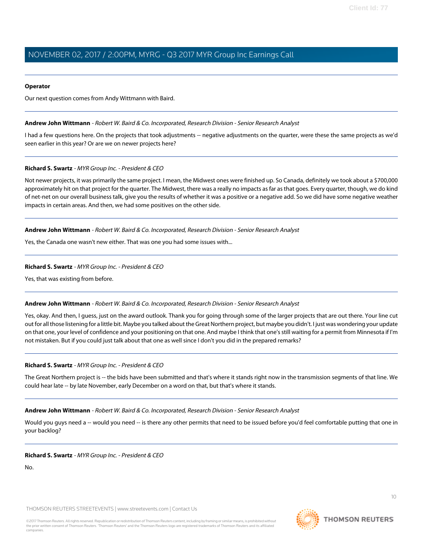#### **Operator**

<span id="page-9-0"></span>Our next question comes from Andy Wittmann with Baird.

#### **Andrew John Wittmann** - Robert W. Baird & Co. Incorporated, Research Division - Senior Research Analyst

I had a few questions here. On the projects that took adjustments -- negative adjustments on the quarter, were these the same projects as we'd seen earlier in this year? Or are we on newer projects here?

#### **Richard S. Swartz** - MYR Group Inc. - President & CEO

Not newer projects, it was primarily the same project. I mean, the Midwest ones were finished up. So Canada, definitely we took about a \$700,000 approximately hit on that project for the quarter. The Midwest, there was a really no impacts as far as that goes. Every quarter, though, we do kind of net-net on our overall business talk, give you the results of whether it was a positive or a negative add. So we did have some negative weather impacts in certain areas. And then, we had some positives on the other side.

#### **Andrew John Wittmann** - Robert W. Baird & Co. Incorporated, Research Division - Senior Research Analyst

Yes, the Canada one wasn't new either. That was one you had some issues with...

#### **Richard S. Swartz** - MYR Group Inc. - President & CEO

Yes, that was existing from before.

# **Andrew John Wittmann** - Robert W. Baird & Co. Incorporated, Research Division - Senior Research Analyst

Yes, okay. And then, I guess, just on the award outlook. Thank you for going through some of the larger projects that are out there. Your line cut out for all those listening for a little bit. Maybe you talked about the Great Northern project, but maybe you didn't. I just was wondering your update on that one, your level of confidence and your positioning on that one. And maybe I think that one's still waiting for a permit from Minnesota if I'm not mistaken. But if you could just talk about that one as well since I don't you did in the prepared remarks?

#### **Richard S. Swartz** - MYR Group Inc. - President & CEO

The Great Northern project is -- the bids have been submitted and that's where it stands right now in the transmission segments of that line. We could hear late -- by late November, early December on a word on that, but that's where it stands.

#### **Andrew John Wittmann** - Robert W. Baird & Co. Incorporated, Research Division - Senior Research Analyst

Would you guys need a -- would you need -- is there any other permits that need to be issued before you'd feel comfortable putting that one in your backlog?

#### **Richard S. Swartz** - MYR Group Inc. - President & CEO

No.

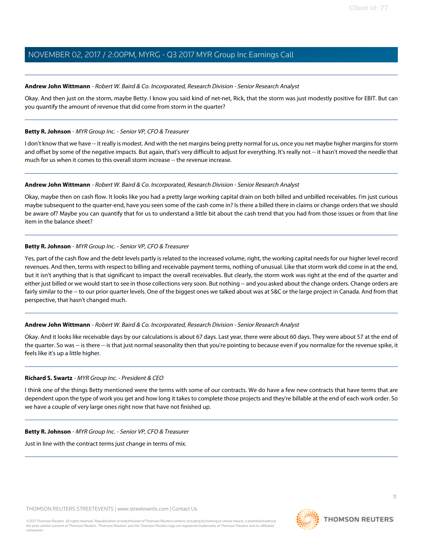#### **Andrew John Wittmann** - Robert W. Baird & Co. Incorporated, Research Division - Senior Research Analyst

Okay. And then just on the storm, maybe Betty. I know you said kind of net-net, Rick, that the storm was just modestly positive for EBIT. But can you quantify the amount of revenue that did come from storm in the quarter?

#### **Betty R. Johnson** - MYR Group Inc. - Senior VP, CFO & Treasurer

I don't know that we have -- it really is modest. And with the net margins being pretty normal for us, once you net maybe higher margins for storm and offset by some of the negative impacts. But again, that's very difficult to adjust for everything. It's really not -- it hasn't moved the needle that much for us when it comes to this overall storm increase -- the revenue increase.

#### **Andrew John Wittmann** - Robert W. Baird & Co. Incorporated, Research Division - Senior Research Analyst

Okay, maybe then on cash flow. It looks like you had a pretty large working capital drain on both billed and unbilled receivables. I'm just curious maybe subsequent to the quarter-end, have you seen some of the cash come in? Is there a billed there in claims or change orders that we should be aware of? Maybe you can quantify that for us to understand a little bit about the cash trend that you had from those issues or from that line item in the balance sheet?

# **Betty R. Johnson** - MYR Group Inc. - Senior VP, CFO & Treasurer

Yes, part of the cash flow and the debt levels partly is related to the increased volume, right, the working capital needs for our higher level record revenues. And then, terms with respect to billing and receivable payment terms, nothing of unusual. Like that storm work did come in at the end, but it isn't anything that is that significant to impact the overall receivables. But clearly, the storm work was right at the end of the quarter and either just billed or we would start to see in those collections very soon. But nothing -- and you asked about the change orders. Change orders are fairly similar to the -- to our prior quarter levels. One of the biggest ones we talked about was at S&C or the large project in Canada. And from that perspective, that hasn't changed much.

# **Andrew John Wittmann** - Robert W. Baird & Co. Incorporated, Research Division - Senior Research Analyst

Okay. And it looks like receivable days by our calculations is about 67 days. Last year, there were about 60 days. They were about 57 at the end of the quarter. So was -- is there -- is that just normal seasonality then that you're pointing to because even if you normalize for the revenue spike, it feels like it's up a little higher.

# **Richard S. Swartz** - MYR Group Inc. - President & CEO

I think one of the things Betty mentioned were the terms with some of our contracts. We do have a few new contracts that have terms that are dependent upon the type of work you get and how long it takes to complete those projects and they're billable at the end of each work order. So we have a couple of very large ones right now that have not finished up.

# **Betty R. Johnson** - MYR Group Inc. - Senior VP, CFO & Treasurer

Just in line with the contract terms just change in terms of mix.

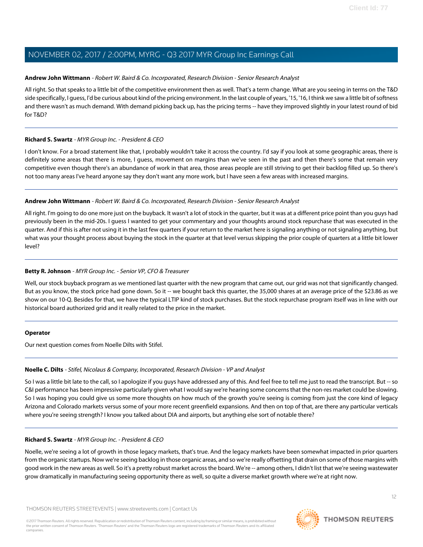# **Andrew John Wittmann** - Robert W. Baird & Co. Incorporated, Research Division - Senior Research Analyst

All right. So that speaks to a little bit of the competitive environment then as well. That's a term change. What are you seeing in terms on the T&D side specifically, I guess, I'd be curious about kind of the pricing environment. In the last couple of years, '15, '16, I think we saw a little bit of softness and there wasn't as much demand. With demand picking back up, has the pricing terms -- have they improved slightly in your latest round of bid for T&D?

# **Richard S. Swartz** - MYR Group Inc. - President & CEO

I don't know. For a broad statement like that, I probably wouldn't take it across the country. I'd say if you look at some geographic areas, there is definitely some areas that there is more, I guess, movement on margins than we've seen in the past and then there's some that remain very competitive even though there's an abundance of work in that area, those areas people are still striving to get their backlog filled up. So there's not too many areas I've heard anyone say they don't want any more work, but I have seen a few areas with increased margins.

# **Andrew John Wittmann** - Robert W. Baird & Co. Incorporated, Research Division - Senior Research Analyst

All right. I'm going to do one more just on the buyback. It wasn't a lot of stock in the quarter, but it was at a different price point than you guys had previously been in the mid-20s. I guess I wanted to get your commentary and your thoughts around stock repurchase that was executed in the quarter. And if this is after not using it in the last few quarters if your return to the market here is signaling anything or not signaling anything, but what was your thought process about buying the stock in the quarter at that level versus skipping the prior couple of quarters at a little bit lower level?

# **Betty R. Johnson** - MYR Group Inc. - Senior VP, CFO & Treasurer

Well, our stock buyback program as we mentioned last quarter with the new program that came out, our grid was not that significantly changed. But as you know, the stock price had gone down. So it -- we bought back this quarter, the 35,000 shares at an average price of the \$23.86 as we show on our 10-Q. Besides for that, we have the typical LTIP kind of stock purchases. But the stock repurchase program itself was in line with our historical board authorized grid and it really related to the price in the market.

# <span id="page-11-0"></span>**Operator**

Our next question comes from Noelle Dilts with Stifel.

# **Noelle C. Dilts** - Stifel, Nicolaus & Company, Incorporated, Research Division - VP and Analyst

So I was a little bit late to the call, so I apologize if you guys have addressed any of this. And feel free to tell me just to read the transcript. But -- so C&I performance has been impressive particularly given what I would say we're hearing some concerns that the non-res market could be slowing. So I was hoping you could give us some more thoughts on how much of the growth you're seeing is coming from just the core kind of legacy Arizona and Colorado markets versus some of your more recent greenfield expansions. And then on top of that, are there any particular verticals where you're seeing strength? I know you talked about DIA and airports, but anything else sort of notable there?

# **Richard S. Swartz** - MYR Group Inc. - President & CEO

Noelle, we're seeing a lot of growth in those legacy markets, that's true. And the legacy markets have been somewhat impacted in prior quarters from the organic startups. Now we're seeing backlog in those organic areas, and so we're really offsetting that drain on some of those margins with good work in the new areas as well. So it's a pretty robust market across the board. We're -- among others, I didn't list that we're seeing wastewater grow dramatically in manufacturing seeing opportunity there as well, so quite a diverse market growth where we're at right now.

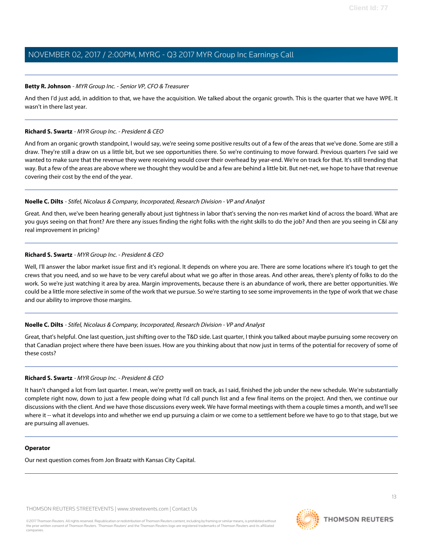# **Betty R. Johnson** - MYR Group Inc. - Senior VP, CFO & Treasurer

And then I'd just add, in addition to that, we have the acquisition. We talked about the organic growth. This is the quarter that we have WPE. It wasn't in there last year.

# **Richard S. Swartz** - MYR Group Inc. - President & CEO

And from an organic growth standpoint, I would say, we're seeing some positive results out of a few of the areas that we've done. Some are still a draw. They're still a draw on us a little bit, but we see opportunities there. So we're continuing to move forward. Previous quarters I've said we wanted to make sure that the revenue they were receiving would cover their overhead by year-end. We're on track for that. It's still trending that way. But a few of the areas are above where we thought they would be and a few are behind a little bit. But net-net, we hope to have that revenue covering their cost by the end of the year.

# **Noelle C. Dilts** - Stifel, Nicolaus & Company, Incorporated, Research Division - VP and Analyst

Great. And then, we've been hearing generally about just tightness in labor that's serving the non-res market kind of across the board. What are you guys seeing on that front? Are there any issues finding the right folks with the right skills to do the job? And then are you seeing in C&I any real improvement in pricing?

# **Richard S. Swartz** - MYR Group Inc. - President & CEO

Well, I'll answer the labor market issue first and it's regional. It depends on where you are. There are some locations where it's tough to get the crews that you need, and so we have to be very careful about what we go after in those areas. And other areas, there's plenty of folks to do the work. So we're just watching it area by area. Margin improvements, because there is an abundance of work, there are better opportunities. We could be a little more selective in some of the work that we pursue. So we're starting to see some improvements in the type of work that we chase and our ability to improve those margins.

# **Noelle C. Dilts** - Stifel, Nicolaus & Company, Incorporated, Research Division - VP and Analyst

Great, that's helpful. One last question, just shifting over to the T&D side. Last quarter, I think you talked about maybe pursuing some recovery on that Canadian project where there have been issues. How are you thinking about that now just in terms of the potential for recovery of some of these costs?

# **Richard S. Swartz** - MYR Group Inc. - President & CEO

It hasn't changed a lot from last quarter. I mean, we're pretty well on track, as I said, finished the job under the new schedule. We're substantially complete right now, down to just a few people doing what I'd call punch list and a few final items on the project. And then, we continue our discussions with the client. And we have those discussions every week. We have formal meetings with them a couple times a month, and we'll see where it -- what it develops into and whether we end up pursuing a claim or we come to a settlement before we have to go to that stage, but we are pursuing all avenues.

# **Operator**

Our next question comes from Jon Braatz with Kansas City Capital.

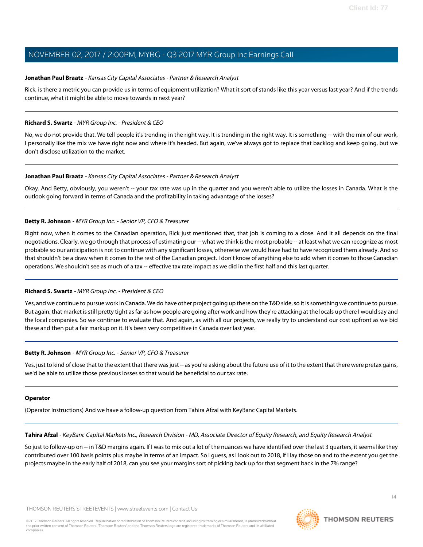# <span id="page-13-0"></span>**Jonathan Paul Braatz** - Kansas City Capital Associates - Partner & Research Analyst

Rick, is there a metric you can provide us in terms of equipment utilization? What it sort of stands like this year versus last year? And if the trends continue, what it might be able to move towards in next year?

# **Richard S. Swartz** - MYR Group Inc. - President & CEO

No, we do not provide that. We tell people it's trending in the right way. It is trending in the right way. It is something -- with the mix of our work, I personally like the mix we have right now and where it's headed. But again, we've always got to replace that backlog and keep going, but we don't disclose utilization to the market.

# **Jonathan Paul Braatz** - Kansas City Capital Associates - Partner & Research Analyst

Okay. And Betty, obviously, you weren't -- your tax rate was up in the quarter and you weren't able to utilize the losses in Canada. What is the outlook going forward in terms of Canada and the profitability in taking advantage of the losses?

# **Betty R. Johnson** - MYR Group Inc. - Senior VP, CFO & Treasurer

Right now, when it comes to the Canadian operation, Rick just mentioned that, that job is coming to a close. And it all depends on the final negotiations. Clearly, we go through that process of estimating our -- what we think is the most probable -- at least what we can recognize as most probable so our anticipation is not to continue with any significant losses, otherwise we would have had to have recognized them already. And so that shouldn't be a draw when it comes to the rest of the Canadian project. I don't know of anything else to add when it comes to those Canadian operations. We shouldn't see as much of a tax -- effective tax rate impact as we did in the first half and this last quarter.

# **Richard S. Swartz** - MYR Group Inc. - President & CEO

Yes, and we continue to pursue work in Canada. We do have other project going up there on the T&D side, so it is something we continue to pursue. But again, that market is still pretty tight as far as how people are going after work and how they're attacking at the locals up there I would say and the local companies. So we continue to evaluate that. And again, as with all our projects, we really try to understand our cost upfront as we bid these and then put a fair markup on it. It's been very competitive in Canada over last year.

# **Betty R. Johnson** - MYR Group Inc. - Senior VP, CFO & Treasurer

Yes, just to kind of close that to the extent that there was just -- as you're asking about the future use of it to the extent that there were pretax gains, we'd be able to utilize those previous losses so that would be beneficial to our tax rate.

# **Operator**

(Operator Instructions) And we have a follow-up question from Tahira Afzal with KeyBanc Capital Markets.

Tahira Afzal - KeyBanc Capital Markets Inc., Research Division - MD, Associate Director of Equity Research, and Equity Research Analyst

So just to follow-up on -- in T&D margins again. If I was to mix out a lot of the nuances we have identified over the last 3 quarters, it seems like they contributed over 100 basis points plus maybe in terms of an impact. So I guess, as I look out to 2018, if I lay those on and to the extent you get the projects maybe in the early half of 2018, can you see your margins sort of picking back up for that segment back in the 7% range?